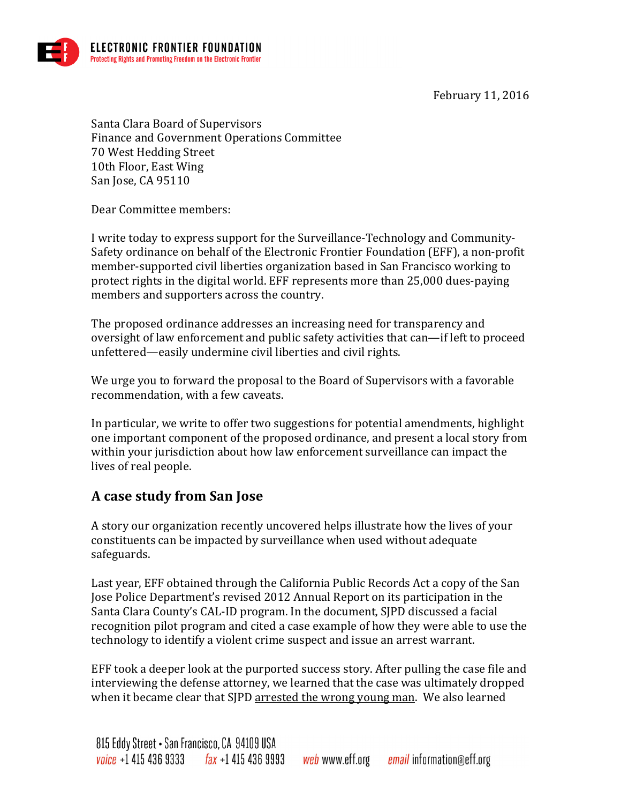February 11, 2016



Santa Clara Board of Supervisors Finance and Government Operations Committee 70 West Hedding Street 10th Floor, East Wing San Jose, CA 95110

Dear Committee members:

I write today to express support for the Surveillance-Technology and Community-Safety ordinance on behalf of the Electronic Frontier Foundation (EFF), a non-profit member-supported civil liberties organization based in San Francisco working to protect rights in the digital world. EFF represents more than 25,000 dues-paying members and supporters across the country.

The proposed ordinance addresses an increasing need for transparency and oversight of law enforcement and public safety activities that can—if left to proceed unfettered—easily undermine civil liberties and civil rights.

We urge you to forward the proposal to the Board of Supervisors with a favorable recommendation, with a few caveats.

In particular, we write to offer two suggestions for potential amendments, highlight one important component of the proposed ordinance, and present a local story from within your jurisdiction about how law enforcement surveillance can impact the lives of real people.

## **A case study from San Jose**

A story our organization recently uncovered helps illustrate how the lives of your constituents can be impacted by surveillance when used without adequate safeguards. 

Last year, EFF obtained through the California Public Records Act a copy of the San Jose Police Department's revised 2012 Annual Report on its participation in the Santa Clara County's CAL-ID program. In the document, SJPD discussed a facial recognition pilot program and cited a case example of how they were able to use the technology to identify a violent crime suspect and issue an arrest warrant.

EFF took a deeper look at the purported success story. After pulling the case file and interviewing the defense attorney, we learned that the case was ultimately dropped when it became clear that SJPD arrested the wrong young man. We also learned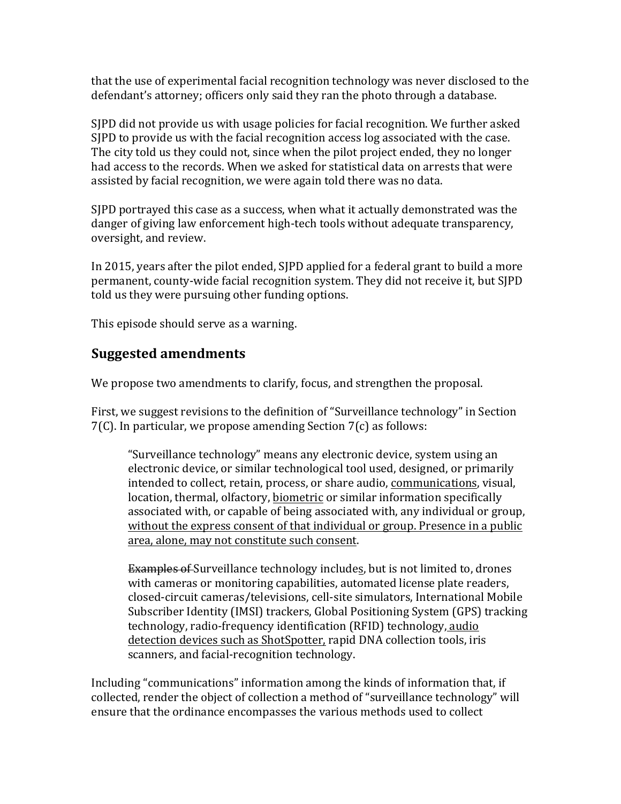that the use of experimental facial recognition technology was never disclosed to the defendant's attorney; officers only said they ran the photo through a database.

SIPD did not provide us with usage policies for facial recognition. We further asked SJPD to provide us with the facial recognition access log associated with the case. The city told us they could not, since when the pilot project ended, they no longer had access to the records. When we asked for statistical data on arrests that were assisted by facial recognition, we were again told there was no data.

SIPD portrayed this case as a success, when what it actually demonstrated was the danger of giving law enforcement high-tech tools without adequate transparency, oversight, and review.

In 2015, years after the pilot ended, SJPD applied for a federal grant to build a more permanent, county-wide facial recognition system. They did not receive it, but SJPD told us they were pursuing other funding options.

This episode should serve as a warning.

## **Suggested amendments**

We propose two amendments to clarify, focus, and strengthen the proposal.

First, we suggest revisions to the definition of "Surveillance technology" in Section  $7(C)$ . In particular, we propose amending Section  $7(c)$  as follows:

"Surveillance technology" means any electronic device, system using an electronic device, or similar technological tool used, designed, or primarily intended to collect, retain, process, or share audio, communications, visual, location, thermal, olfactory, biometric or similar information specifically associated with, or capable of being associated with, any individual or group, without the express consent of that individual or group. Presence in a public area, alone, may not constitute such consent.

Examples of Surveillance technology includes, but is not limited to, drones with cameras or monitoring capabilities, automated license plate readers, closed-circuit cameras/televisions, cell-site simulators, International Mobile Subscriber Identity (IMSI) trackers, Global Positioning System (GPS) tracking technology, radio-frequency identification (RFID) technology, audio detection devices such as ShotSpotter, rapid DNA collection tools, iris scanners, and facial-recognition technology.

Including "communications" information among the kinds of information that, if collected, render the object of collection a method of "surveillance technology" will ensure that the ordinance encompasses the various methods used to collect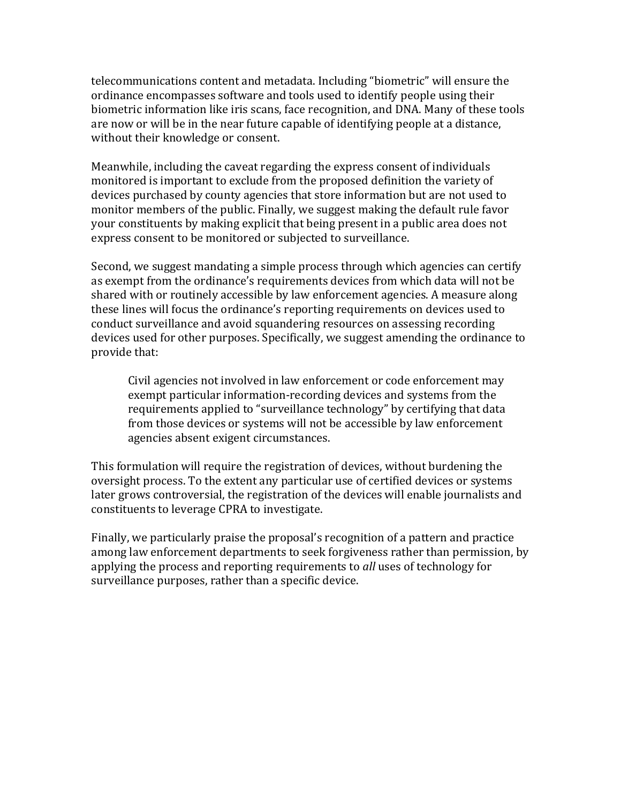telecommunications content and metadata. Including "biometric" will ensure the ordinance encompasses software and tools used to identify people using their biometric information like iris scans, face recognition, and DNA. Many of these tools are now or will be in the near future capable of identifying people at a distance, without their knowledge or consent.

Meanwhile, including the caveat regarding the express consent of individuals monitored is important to exclude from the proposed definition the variety of devices purchased by county agencies that store information but are not used to monitor members of the public. Finally, we suggest making the default rule favor your constituents by making explicit that being present in a public area does not express consent to be monitored or subjected to surveillance.

Second, we suggest mandating a simple process through which agencies can certify as exempt from the ordinance's requirements devices from which data will not be shared with or routinely accessible by law enforcement agencies. A measure along these lines will focus the ordinance's reporting requirements on devices used to conduct surveillance and avoid squandering resources on assessing recording devices used for other purposes. Specifically, we suggest amending the ordinance to provide that:

Civil agencies not involved in law enforcement or code enforcement may exempt particular information-recording devices and systems from the requirements applied to "surveillance technology" by certifying that data from those devices or systems will not be accessible by law enforcement agencies absent exigent circumstances.

This formulation will require the registration of devices, without burdening the oversight process. To the extent any particular use of certified devices or systems later grows controversial, the registration of the devices will enable journalists and constituents to leverage CPRA to investigate.

Finally, we particularly praise the proposal's recognition of a pattern and practice among law enforcement departments to seek forgiveness rather than permission, by applying the process and reporting requirements to *all* uses of technology for surveillance purposes, rather than a specific device.